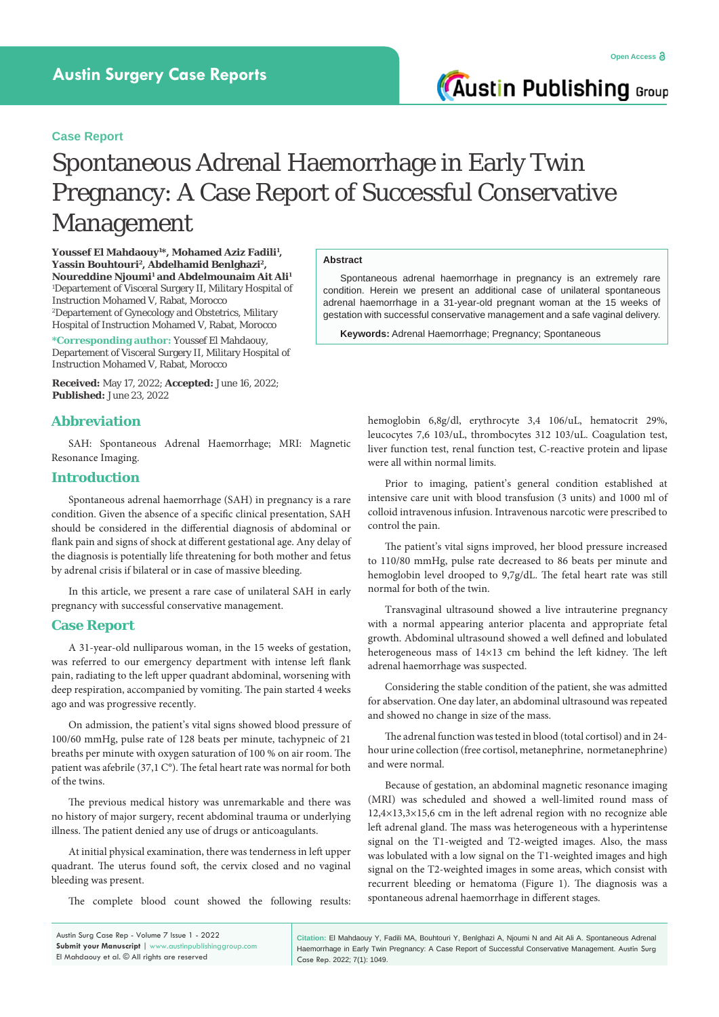**Austin Publishing Group** 

# **Case Report**

# Spontaneous Adrenal Haemorrhage in Early Twin Pregnancy: A Case Report of Successful Conservative Management

**Youssef El Mahdaouy1 \*, Mohamed Aziz Fadili1 , Yassin Bouhtouri2, Abdelhamid Benlghazi2,**  <code>Noureddine</code> <code>Njoumi<sup>1</sup> and Abdelmounaim Ait Ali<sup>1</sup></code> 1 Departement of Visceral Surgery II, Military Hospital of Instruction Mohamed V, Rabat, Morocco 2 Departement of Gynecology and Obstetrics, Military Hospital of Instruction Mohamed V, Rabat, Morocco

**\*Corresponding author:** Youssef El Mahdaouy, Departement of Visceral Surgery II, Military Hospital of Instruction Mohamed V, Rabat, Morocco

**Received:** May 17, 2022; **Accepted:** June 16, 2022; **Published:** June 23, 2022

# **Abbreviation**

SAH: Spontaneous Adrenal Haemorrhage; MRI: Magnetic Resonance Imaging.

# **Introduction**

Spontaneous adrenal haemorrhage (SAH) in pregnancy is a rare condition. Given the absence of a specific clinical presentation, SAH should be considered in the differential diagnosis of abdominal or flank pain and signs of shock at different gestational age. Any delay of the diagnosis is potentially life threatening for both mother and fetus by adrenal crisis if bilateral or in case of massive bleeding.

In this article, we present a rare case of unilateral SAH in early pregnancy with successful conservative management.

### **Case Report**

A 31-year-old nulliparous woman, in the 15 weeks of gestation, was referred to our emergency department with intense left flank pain, radiating to the left upper quadrant abdominal, worsening with deep respiration, accompanied by vomiting. The pain started 4 weeks ago and was progressive recently.

On admission, the patient's vital signs showed blood pressure of 100/60 mmHg, pulse rate of 128 beats per minute, tachypneic of 21 breaths per minute with oxygen saturation of 100 % on air room. The patient was afebrile (37,1 C°). The fetal heart rate was normal for both of the twins.

The previous medical history was unremarkable and there was no history of major surgery, recent abdominal trauma or underlying illness. The patient denied any use of drugs or anticoagulants.

At initial physical examination, there was tenderness in left upper quadrant. The uterus found soft, the cervix closed and no vaginal bleeding was present.

The complete blood count showed the following results:

#### **Abstract**

Spontaneous adrenal haemorrhage in pregnancy is an extremely rare condition. Herein we present an additional case of unilateral spontaneous adrenal haemorrhage in a 31-year-old pregnant woman at the 15 weeks of gestation with successful conservative management and a safe vaginal delivery.

**Keywords:** Adrenal Haemorrhage; Pregnancy; Spontaneous

hemoglobin 6,8g/dl, erythrocyte 3,4 106/uL, hematocrit 29%, leucocytes 7,6 103/uL, thrombocytes 312 103/uL. Coagulation test, liver function test, renal function test, C-reactive protein and lipase were all within normal limits.

Prior to imaging, patient's general condition established at intensive care unit with blood transfusion (3 units) and 1000 ml of colloid intravenous infusion. Intravenous narcotic were prescribed to control the pain.

The patient's vital signs improved, her blood pressure increased to 110/80 mmHg, pulse rate decreased to 86 beats per minute and hemoglobin level drooped to 9,7g/dL. The fetal heart rate was still normal for both of the twin.

Transvaginal ultrasound showed a live intrauterine pregnancy with a normal appearing anterior placenta and appropriate fetal growth. Abdominal ultrasound showed a well defined and lobulated heterogeneous mass of 14×13 cm behind the left kidney. The left adrenal haemorrhage was suspected.

Considering the stable condition of the patient, she was admitted for abservation. One day later, an abdominal ultrasound was repeated and showed no change in size of the mass.

The adrenal function was tested in blood (total cortisol) and in 24 hour urine collection (free cortisol, metanephrine, normetanephrine) and were normal.

Because of gestation, an abdominal magnetic resonance imaging (MRI) was scheduled and showed a well-limited round mass of 12,4×13,3×15,6 cm in the left adrenal region with no recognize able left adrenal gland. The mass was heterogeneous with a hyperintense signal on the T1-weigted and T2-weigted images. Also, the mass was lobulated with a low signal on the T1-weighted images and high signal on the T2-weighted images in some areas, which consist with recurrent bleeding or hematoma (Figure 1). The diagnosis was a spontaneous adrenal haemorrhage in different stages.

Austin Surg Case Rep - Volume 7 Issue 1 - 2022 **Submit your Manuscript** | www.austinpublishinggroup.com El Mahdaouy et al. © All rights are reserved

**Citation:** El Mahdaouy Y, Fadili MA, Bouhtouri Y, Benlghazi A, Njoumi N and Ait Ali A. Spontaneous Adrenal Haemorrhage in Early Twin Pregnancy: A Case Report of Successful Conservative Management. Austin Surg Case Rep. 2022; 7(1): 1049.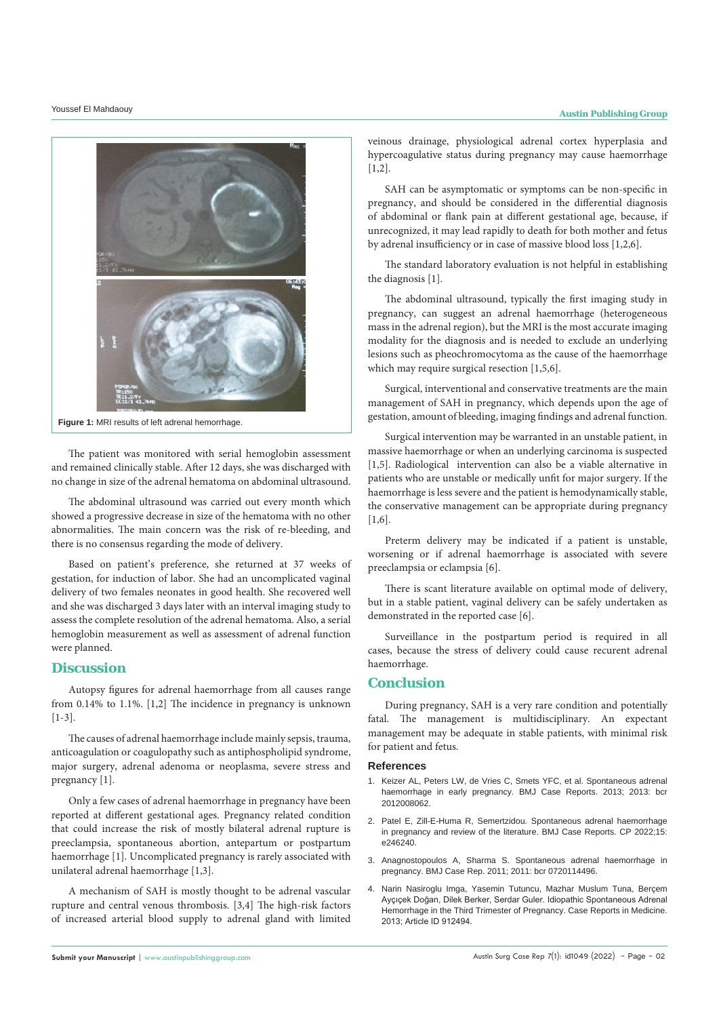

**Figure 1:** MRI results of left adrenal hemorrhage.

The patient was monitored with serial hemoglobin assessment and remained clinically stable. After 12 days, she was discharged with no change in size of the adrenal hematoma on abdominal ultrasound.

The abdominal ultrasound was carried out every month which showed a progressive decrease in size of the hematoma with no other abnormalities. The main concern was the risk of re-bleeding, and there is no consensus regarding the mode of delivery.

Based on patient's preference, she returned at 37 weeks of gestation, for induction of labor. She had an uncomplicated vaginal delivery of two females neonates in good health. She recovered well and she was discharged 3 days later with an interval imaging study to assess the complete resolution of the adrenal hematoma. Also, a serial hemoglobin measurement as well as assessment of adrenal function were planned.

# **Discussion**

Autopsy figures for adrenal haemorrhage from all causes range from 0.14% to 1.1%. [1,2] The incidence in pregnancy is unknown [1-3].

The causes of adrenal haemorrhage include mainly sepsis, trauma, anticoagulation or coagulopathy such as antiphospholipid syndrome, major surgery, adrenal adenoma or neoplasma, severe stress and pregnancy [1].

Only a few cases of adrenal haemorrhage in pregnancy have been reported at different gestational ages. Pregnancy related condition that could increase the risk of mostly bilateral adrenal rupture is preeclampsia, spontaneous abortion, antepartum or postpartum haemorrhage [1]. Uncomplicated pregnancy is rarely associated with unilateral adrenal haemorrhage [1,3].

A mechanism of SAH is mostly thought to be adrenal vascular rupture and central venous thrombosis. [3,4] The high-risk factors of increased arterial blood supply to adrenal gland with limited veinous drainage, physiological adrenal cortex hyperplasia and hypercoagulative status during pregnancy may cause haemorrhage  $[1,2]$ .

SAH can be asymptomatic or symptoms can be non-specific in pregnancy, and should be considered in the differential diagnosis of abdominal or flank pain at different gestational age, because, if unrecognized, it may lead rapidly to death for both mother and fetus by adrenal insufficiency or in case of massive blood loss [1,2,6].

The standard laboratory evaluation is not helpful in establishing the diagnosis [1].

The abdominal ultrasound, typically the first imaging study in pregnancy, can suggest an adrenal haemorrhage (heterogeneous mass in the adrenal region), but the MRI is the most accurate imaging modality for the diagnosis and is needed to exclude an underlying lesions such as pheochromocytoma as the cause of the haemorrhage which may require surgical resection [1,5,6].

Surgical, interventional and conservative treatments are the main management of SAH in pregnancy, which depends upon the age of gestation, amount of bleeding, imaging findings and adrenal function.

Surgical intervention may be warranted in an unstable patient, in massive haemorrhage or when an underlying carcinoma is suspected [1,5]. Radiological intervention can also be a viable alternative in patients who are unstable or medically unfit for major surgery. If the haemorrhage is less severe and the patient is hemodynamically stable, the conservative management can be appropriate during pregnancy [1,6].

Preterm delivery may be indicated if a patient is unstable, worsening or if adrenal haemorrhage is associated with severe preeclampsia or eclampsia [6].

There is scant literature available on optimal mode of delivery, but in a stable patient, vaginal delivery can be safely undertaken as demonstrated in the reported case [6].

Surveillance in the postpartum period is required in all cases, because the stress of delivery could cause recurent adrenal haemorrhage.

# **Conclusion**

During pregnancy, SAH is a very rare condition and potentially fatal. The management is multidisciplinary. An expectant management may be adequate in stable patients, with minimal risk for patient and fetus.

#### **References**

- 1. [Keizer AL, Peters LW, de Vries C, Smets YFC, et al. Spontaneous adrenal](https://casereports.bmj.com/content/2013/bcr-2012-008062)  [haemorrhage in early pregnancy. BMJ Case Reports. 2013; 2013: bcr](https://casereports.bmj.com/content/2013/bcr-2012-008062)  [2012008062.](https://casereports.bmj.com/content/2013/bcr-2012-008062)
- 2. [Patel E, Zill-E-Huma R, Semertzidou. Spontaneous adrenal haemorrhage](https://casereports.bmj.com/content/15/5/e246240)  [in pregnancy and review of the literature. BMJ Case Reports. CP 2022;15:](https://casereports.bmj.com/content/15/5/e246240)  [e246240.](https://casereports.bmj.com/content/15/5/e246240)
- 3. Anagnostopoulos A, Sharma S. Spontaneous adrenal haemorrhage in pregnancy. BMJ Case Rep. 2011; 2011: bcr 0720114496.
- 4. [Narin Nasiroglu Imga, Yasemin Tutuncu, Mazhar Muslum Tuna, Berçem](https://www.hindawi.com/journals/crim/2013/912494/)  [Ayçıçek Doğan, Dilek Berker, Serdar Guler. Idiopathic Spontaneous Adrenal](https://www.hindawi.com/journals/crim/2013/912494/)  [Hemorrhage in the Third Trimester of Pregnancy. Case Reports in Medicine.](https://www.hindawi.com/journals/crim/2013/912494/)  [2013; Article ID 912494.](https://www.hindawi.com/journals/crim/2013/912494/)